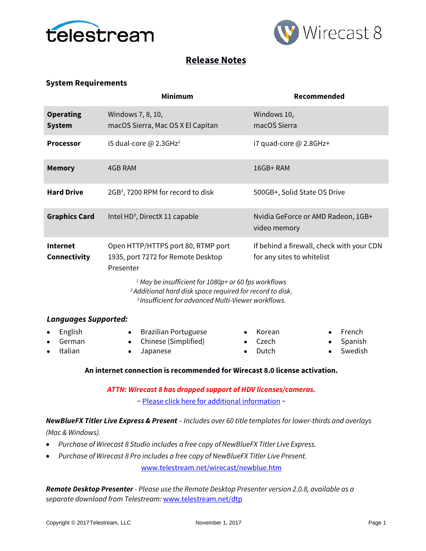



# **Release Notes**

## **System Requirements**

|                                   | <b>Minimum</b>                                                                                                                                                                                                                                                                                     | Recommended                                                             |  |
|-----------------------------------|----------------------------------------------------------------------------------------------------------------------------------------------------------------------------------------------------------------------------------------------------------------------------------------------------|-------------------------------------------------------------------------|--|
| <b>Operating</b><br><b>System</b> | Windows 7, 8, 10,<br>macOS Sierra, Mac OS X El Capitan                                                                                                                                                                                                                                             | Windows 10,<br>macOS Sierra                                             |  |
| <b>Processor</b>                  | i5 dual-core $@$ 2.3GHz <sup>1</sup>                                                                                                                                                                                                                                                               | i7 quad-core @ 2.8GHz+                                                  |  |
| <b>Memory</b>                     | 4GB RAM                                                                                                                                                                                                                                                                                            | 16GB+RAM                                                                |  |
| <b>Hard Drive</b>                 | 2GB <sup>2</sup> , 7200 RPM for record to disk                                                                                                                                                                                                                                                     | 500GB+, Solid State OS Drive                                            |  |
| <b>Graphics Card</b>              | Intel HD <sup>3</sup> , DirectX 11 capable                                                                                                                                                                                                                                                         | Nvidia GeForce or AMD Radeon, 1GB+<br>video memory                      |  |
| <b>Internet</b><br>Connectivity   | Open HTTP/HTTPS port 80, RTMP port<br>1935, port 7272 for Remote Desktop<br>Presenter<br><sup>1</sup> May be insufficient for 1080p+ or 60 fps workflows<br><sup>2</sup> Additional hard disk space required for record to disk.<br><sup>3</sup> Insufficient for advanced Multi-Viewer workflows. | If behind a firewall, check with your CDN<br>for any sites to whitelist |  |
| <b>Languages Supported:</b>       |                                                                                                                                                                                                                                                                                                    |                                                                         |  |
| English<br>German                 | <b>Brazilian Portuguese</b><br>٠<br>Chinese (Simplified)<br>$\bullet$                                                                                                                                                                                                                              | French<br>Korean<br>Czech<br>Spanish<br>$\bullet$                       |  |

• Italian

• Japanese

- Czech • Dutch
- Spanish

• Swedish

### **An internet connection is recommended for Wirecast 8.0 license activation.**

*ATTN: Wirecast 8 has dropped support of HDV licenses/cameras.* 

~ [Please click here for additional information](http://www.telestream.net/telestream-support/wire-cast/faq.htm?kbURL=http://telestream.force.com/kb/articles/Knowledge_Article/Wirecast-HDV-Firewire-No-longer-Supported/) ~

*NewBlueFX Titler Live Express & Present – Includes over 60 title templates for lower-thirds and overlays* 

*(Mac & Windows).*

- *Purchase of Wirecast 8 Studio includes a free copy of NewBlueFX Titler Live Express.*
- *Purchase of Wirecast 8 Pro includes a free copy of NewBlueFX Titler Live Present.*

[www.telestream.net/wirecast/newblue.htm](http://www.telestream.net/wirecast/newblue.htm)

*Remote Desktop Presenter - Please use the Remote Desktop Presenter version 2.0.8, available as a separate download from Telestream:* [www.telestream.net/dtp](http://www.telestream.net/dtp)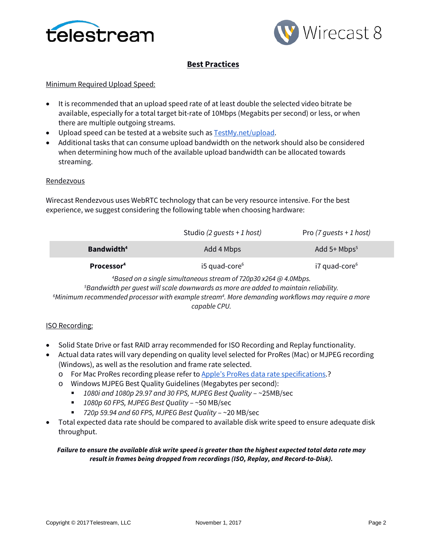



# **Best Practices**

## Minimum Required Upload Speed:

- It is recommended that an upload speed rate of at least double the selected video bitrate be available, especially for a total target bit-rate of 10Mbps (Megabits per second) or less, or when there are multiple outgoing streams.
- Upload speed can be tested at a website such as **TestMy.net/upload**.
- Additional tasks that can consume upload bandwidth on the network should also be considered when determining how much of the available upload bandwidth can be allocated towards streaming.

## **Rendezvous**

Wirecast Rendezvous uses WebRTC technology that can be very resource intensive. For the best experience, we suggest considering the following table when choosing hardware:

|                               | Studio (2 quests + 1 host)                                                  | Pro $(7 \text{ quests + 1 host)$ |
|-------------------------------|-----------------------------------------------------------------------------|----------------------------------|
| <b>Bandwidth</b> <sup>4</sup> | Add 4 Mbps                                                                  | Add $5+$ Mbps <sup>5</sup>       |
| Processor <sup>4</sup>        | $i5$ quad-core <sup>6</sup>                                                 | $i7$ quad-core $6$               |
|                               | <sup>4</sup> Based on a single simultaneous stream of 720p30 x264 @ 4 0Mbps |                                  |

*Based on a single simultaneous stream of 720p30 x264 @ 4.0Mbps. 5 Bandwidth per guest will scale downwards as more are added to maintain reliability. 6 Minimum recommended processor with example stream4 . More demanding workflows may require a more capable CPU.*

### ISO Recording:

- Solid State Drive or fast RAID array recommended for ISO Recording and Replay functionality.
- Actual data rates will vary depending on quality level selected for ProRes (Mac) or MJPEG recording (Windows), as well as the resolution and frame rate selected.
	- o For Mac ProRes recording please refer t[o Apple's ProRes data rate specifications.](https://documentation.apple.com/en/finalcutpro/professionalformatsandworkflows/index.html)?
	- o Windows MJPEG Best Quality Guidelines (Megabytes per second):
		- *1080i and 1080p 29.97 and 30 FPS, MJPEG Best Quality* ~25MB/sec
		- *1080p 60 FPS, MJPEG Best Quality* ~50 MB/sec
		- *720p 59.94 and 60 FPS, MJPEG Best Quality* ~20 MB/sec
- Total expected data rate should be compared to available disk write speed to ensure adequate disk throughput.

### *Failure to ensure the available disk write speed is greater than the highest expected total data rate may result in frames being dropped from recordings (ISO, Replay, and Record-to-Disk).*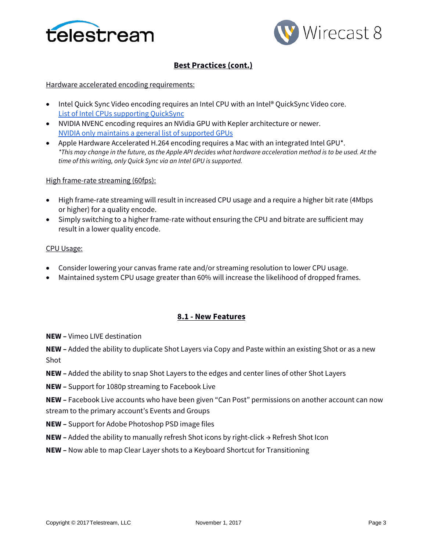



# **Best Practices (cont.)**

### Hardware accelerated encoding requirements:

- Intel Quick Sync Video encoding requires an Intel CPU with an Intel® QuickSync Video core[.](http://ark.intel.com/search/advanced?QuickSyncVideo=true&MarketSegment=DT) [List of Intel CPUs supporting QuickSync](http://ark.intel.com/search/advanced?QuickSyncVideo=true&MarketSegment=DT)
- NVIDIA NVENC encoding requires an NVidia GPU with Kepler architecture or newer[.](https://developer.nvidia.com/nvidia-video-codec-sdk) [NVIDIA only maintains a general list of supported GPUs](https://developer.nvidia.com/nvidia-video-codec-sdk)
- Apple Hardware Accelerated H.264 encoding requires a Mac with an integrated Intel GPU\*. *\*This may change in the future, as the Apple API decides what hardware acceleration method is to be used. At the time of this writing, only Quick Sync via an Intel GPU is supported.*

### High frame-rate streaming (60fps):

- High frame-rate streaming will result in increased CPU usage and a require a higher bit rate (4Mbps or higher) for a quality encode.
- Simply switching to a higher frame-rate without ensuring the CPU and bitrate are sufficient may result in a lower quality encode.

## CPU Usage:

- Consider lowering your canvas frame rate and/or streaming resolution to lower CPU usage.
- Maintained system CPU usage greater than 60% will increase the likelihood of dropped frames.

## **8.1 - New Features**

**NEW –** Vimeo LIVE destination

**NEW –** Added the ability to duplicate Shot Layers via Copy and Paste within an existing Shot or as a new Shot

- **NEW –** Added the ability to snap Shot Layers to the edges and center lines of other Shot Layers
- **NEW –** Support for 1080p streaming to Facebook Live

**NEW –** Facebook Live accounts who have been given "Can Post" permissions on another account can now stream to the primary account's Events and Groups

- **NEW –** Support for Adobe Photoshop PSD image files
- **NEW –** Added the ability to manually refresh Shot icons by right-click → Refresh Shot Icon
- **NEW –** Now able to map Clear Layer shots to a Keyboard Shortcut for Transitioning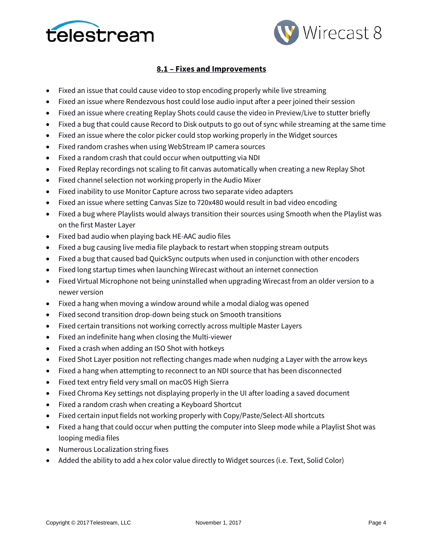



## **8.1 – Fixes and Improvements**

- Fixed an issue that could cause video to stop encoding properly while live streaming
- Fixed an issue where Rendezvous host could lose audio input after a peer joined their session
- Fixed an issue where creating Replay Shots could cause the video in Preview/Live to stutter briefly
- Fixed a bug that could cause Record to Disk outputs to go out of sync while streaming at the same time
- Fixed an issue where the color picker could stop working properly in the Widget sources
- Fixed random crashes when using WebStream IP camera sources
- Fixed a random crash that could occur when outputting via NDI
- Fixed Replay recordings not scaling to fit canvas automatically when creating a new Replay Shot
- Fixed channel selection not working properly in the Audio Mixer
- Fixed inability to use Monitor Capture across two separate video adapters
- Fixed an issue where setting Canvas Size to 720x480 would result in bad video encoding
- Fixed a bug where Playlists would always transition their sources using Smooth when the Playlist was on the first Master Layer
- Fixed bad audio when playing back HE-AAC audio files
- Fixed a bug causing live media file playback to restart when stopping stream outputs
- Fixed a bug that caused bad QuickSync outputs when used in conjunction with other encoders
- Fixed long startup times when launching Wirecast without an internet connection
- Fixed Virtual Microphone not being uninstalled when upgrading Wirecast from an older version to a newer version
- Fixed a hang when moving a window around while a modal dialog was opened
- Fixed second transition drop-down being stuck on Smooth transitions
- Fixed certain transitions not working correctly across multiple Master Layers
- Fixed an indefinite hang when closing the Multi-viewer
- Fixed a crash when adding an ISO Shot with hotkeys
- Fixed Shot Layer position not reflecting changes made when nudging a Layer with the arrow keys
- Fixed a hang when attempting to reconnect to an NDI source that has been disconnected
- Fixed text entry field very small on macOS High Sierra
- Fixed Chroma Key settings not displaying properly in the UI after loading a saved document
- Fixed a random crash when creating a Keyboard Shortcut
- Fixed certain input fields not working properly with Copy/Paste/Select-All shortcuts
- Fixed a hang that could occur when putting the computer into Sleep mode while a Playlist Shot was looping media files
- Numerous Localization string fixes
- Added the ability to add a hex color value directly to Widget sources (i.e. Text, Solid Color)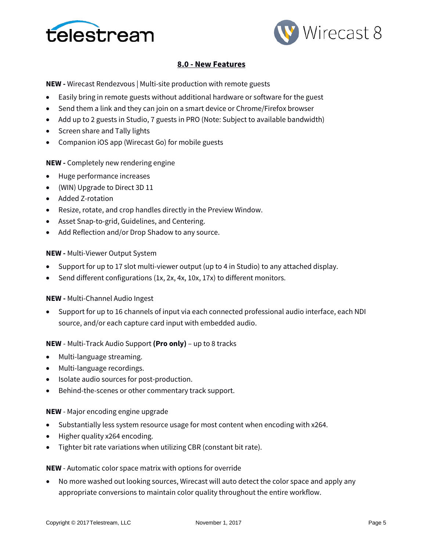



## **8.0 - New Features**

**NEW -** Wirecast Rendezvous | Multi-site production with remote guests

- Easily bring in remote guests without additional hardware or software for the guest
- Send them a link and they can join on a smart device or Chrome/Firefox browser
- Add up to 2 guests in Studio, 7 guests in PRO (Note: Subject to available bandwidth)
- Screen share and Tally lights
- Companion iOS app (Wirecast Go) for mobile guests

### **NEW -** Completely new rendering engine

- Huge performance increases
- (WIN) Upgrade to Direct 3D 11
- Added Z-rotation
- Resize, rotate, and crop handles directly in the Preview Window.
- Asset Snap-to-grid, Guidelines, and Centering.
- Add Reflection and/or Drop Shadow to any source.

#### **NEW -** Multi-Viewer Output System

- Support for up to 17 slot multi-viewer output (up to 4 in Studio) to any attached display.
- Send different configurations (1x, 2x, 4x, 10x, 17x) to different monitors.

### **NEW -** Multi-Channel Audio Ingest

• Support for up to 16 channels of input via each connected professional audio interface, each NDI source, and/or each capture card input with embedded audio.

#### **NEW** - Multi-Track Audio Support **(Pro only)** – up to 8 tracks

- Multi-language streaming.
- Multi-language recordings.
- Isolate audio sources for post-production.
- Behind-the-scenes or other commentary track support.

#### **NEW** - Major encoding engine upgrade

- Substantially less system resource usage for most content when encoding with x264.
- Higher quality x264 encoding.
- Tighter bit rate variations when utilizing CBR (constant bit rate).

#### **NEW** - Automatic color space matrix with options for override

• No more washed out looking sources, Wirecast will auto detect the color space and apply any appropriate conversions to maintain color quality throughout the entire workflow.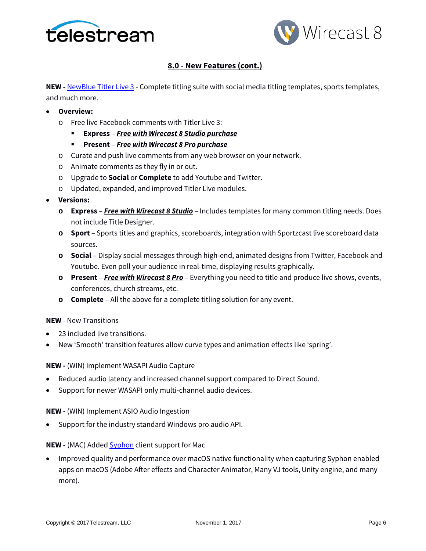



## **8.0 - New Features (cont.)**

**NEW** - **[NewBlue Titler Live 3](https://www.newbluefx.com/products/on-air-graphics/titler-live/)** - Complete titling suite with social media titling templates, sports templates, and much more.

- **Overview:**
	- o Free live Facebook comments with Titler Live 3:
		- **Express**  *Free with Wirecast 8 Studio purchase*
		- **Present** *Free with Wirecast 8 Pro purchase*
	- o Curate and push live comments from any web browser on your network.
	- o Animate comments as they fly in or out.
	- o Upgrade to **Social** or **Complete** to add Youtube and Twitter.
	- o Updated, expanded, and improved Titler Live modules.
- **Versions:**
	- **o Express**  *Free with Wirecast 8 Studio* Includes templates for many common titling needs. Does not include Title Designer.
	- **o Sport** Sports titles and graphics, scoreboards, integration with Sportzcast live scoreboard data sources.
	- **o Social** Display social messages through high-end, animated designs from Twitter, Facebook and Youtube. Even poll your audience in real-time, displaying results graphically.
	- **o Present** *Free with Wirecast 8 Pro* Everything you need to title and produce live shows, events, conferences, church streams, etc.
	- **o Complete** All the above for a complete titling solution for any event.

#### **NEW** - New Transitions

- 23 included live transitions.
- New 'Smooth' transition features allow curve types and animation effects like 'spring'.

**NEW -** (WIN) Implement WASAPI Audio Capture

- Reduced audio latency and increased channel support compared to Direct Sound.
- Support for newer WASAPI only multi-channel audio devices.

**NEW -** (WIN) Implement ASIO Audio Ingestion

• Support for the industry standard Windows pro audio API.

#### **NEW -** (MAC) Added **Syphon** client support for Mac

• Improved quality and performance over macOS native functionality when capturing Syphon enabled apps on macOS (Adobe After effects and Character Animator, Many VJ tools, Unity engine, and many more).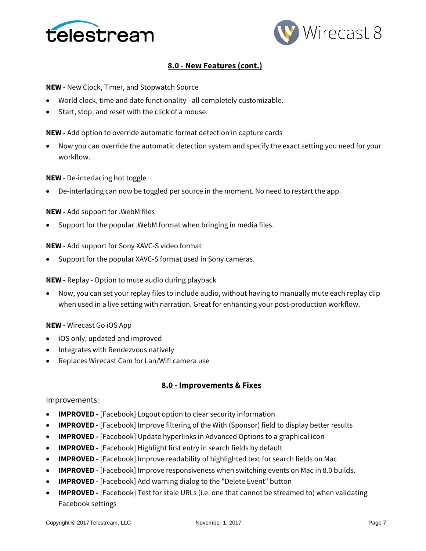



## **8.0 - New Features (cont.)**

**NEW -** New Clock, Timer, and Stopwatch Source

- World clock, time and date functionality all completely customizable.
- Start, stop, and reset with the click of a mouse.

**NEW -** Add option to override automatic format detection in capture cards

• Now you can override the automatic detection system and specify the exact setting you need for your workflow.

#### **NEW** - De-interlacing hot toggle

• De-interlacing can now be toggled per source in the moment. No need to restart the app.

#### **NEW -** Add support for .WebM files

Support for the popular . WebM format when bringing in media files.

#### **NEW -** Add support for Sony XAVC-S video format

• Support for the popular XAVC-S format used in Sony cameras.

#### **NEW -** Replay - Option to mute audio during playback

• Now, you can set your replay files to include audio, without having to manually mute each replay clip when used in a live setting with narration. Great for enhancing your post-production workflow.

#### **NEW -** Wirecast Go iOS App

- iOS only, updated and improved
- Integrates with Rendezvous natively
- Replaces Wirecast Cam for Lan/Wifi camera use

#### **8.0 - Improvements & Fixes**

#### Improvements:

- **IMPROVED -** [Facebook] Logout option to clear security information
- **IMPROVED -** [Facebook] Improve filtering of the With (Sponsor) field to display better results
- **IMPROVED -** [Facebook] Update hyperlinks in Advanced Options to a graphical icon
- **IMPROVED -** [Facebook] Highlight first entry in search fields by default
- **IMPROVED -** [Facebook] Improve readability of highlighted text for search fields on Mac
- **IMPROVED -** [Facebook] Improve responsiveness when switching events on Mac in 8.0 builds.
- **IMPROVED -** [Facebook] Add warning dialog to the "Delete Event" button
- **IMPROVED -** [Facebook] Test for stale URLs (i.e. one that cannot be streamed to) when validating Facebook settings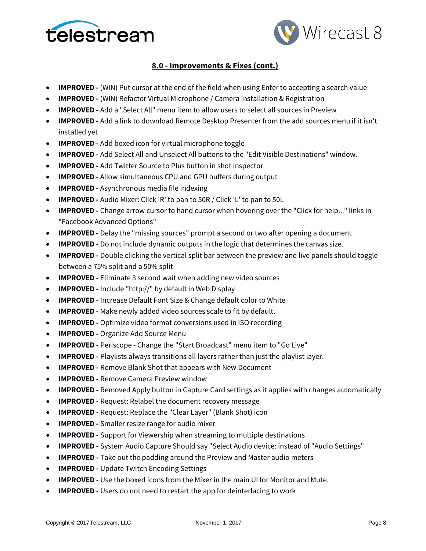



- **IMPROVED -** (WIN) Put cursor at the end of the field when using Enter to accepting a search value
- **IMPROVED -** (WIN) Refactor Virtual Microphone / Camera Installation & Registration
- **IMPROVED -** Add a "Select All" menu item to allow users to select all sources in Preview
- **IMPROVED -** Add a link to download Remote Desktop Presenter from the add sources menu if it isn't installed yet
- **IMPROVED -** Add boxed icon for virtual microphone toggle
- **IMPROVED -** Add Select All and Unselect All buttons to the "Edit Visible Destinations" window.
- **IMPROVED -** Add Twitter Source to Plus button in shot inspector
- **IMPROVED -** Allow simultaneous CPU and GPU buffers during output
- **IMPROVED -** Asynchronous media file indexing
- **IMPROVED -** Audio Mixer: Click 'R' to pan to 50R / Click 'L' to pan to 50L
- **IMPROVED -** Change arrow cursor to hand cursor when hovering over the "Click for help..." links in "Facebook Advanced Options"
- **IMPROVED -** Delay the "missing sources" prompt a second or two after opening a document
- **IMPROVED -** Do not include dynamic outputs in the logic that determines the canvas size.
- **IMPROVED -** Double clicking the vertical split bar between the preview and live panels should toggle between a 75% split and a 50% split
- **IMPROVED -** Eliminate 3 second wait when adding new video sources
- **IMPROVED -** Include "http://" by default in Web Display
- **IMPROVED -** Increase Default Font Size & Change default color to White
- **IMPROVED** Make newly added video sources scale to fit by default.
- **IMPROVED -** Optimize video format conversions used in ISO recording
- **IMPROVED -** Organize Add Source Menu
- **IMPROVED -** Periscope Change the "Start Broadcast" menu item to "Go Live"
- **IMPROVED -** Playlists always transitions all layers rather than just the playlist layer.
- **IMPROVED -** Remove Blank Shot that appears with New Document
- **IMPROVED -** Remove Camera Preview window
- **IMPROVED -** Removed Apply button in Capture Card settings as it applies with changes automatically
- **IMPROVED** Request: Relabel the document recovery message
- **IMPROVED -** Request: Replace the "Clear Layer" (Blank Shot) icon
- **IMPROVED -** Smaller resize range for audio mixer
- **IMPROVED -** Support for Viewership when streaming to multiple destinations
- **IMPROVED -** System Audio Capture Should say "Select Audio device: instead of "Audio Settings"
- **IMPROVED** Take out the padding around the Preview and Master audio meters
- **IMPROVED -** Update Twitch Encoding Settings
- **IMPROVED -** Use the boxed icons from the Mixer in the main UI for Monitor and Mute.
- **IMPROVED** Users do not need to restart the app for deinterlacing to work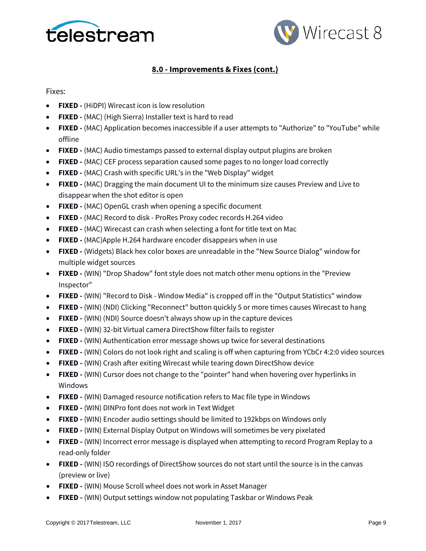



Fixes:

- **FIXED -** (HiDPI) Wirecast icon is low resolution
- **FIXED -** (MAC) (High Sierra) Installer text is hard to read
- **FIXED -** (MAC) Application becomes inaccessible if a user attempts to "Authorize" to "YouTube" while offline
- **FIXED -** (MAC) Audio timestamps passed to external display output plugins are broken
- **FIXED -** (MAC) CEF process separation caused some pages to no longer load correctly
- **FIXED -** (MAC) Crash with specific URL's in the "Web Display" widget
- **FIXED -** (MAC) Dragging the main document UI to the minimum size causes Preview and Live to disappear when the shot editor is open
- **FIXED -** (MAC) OpenGL crash when opening a specific document
- **FIXED -** (MAC) Record to disk ProRes Proxy codec records H.264 video
- **FIXED -** (MAC) Wirecast can crash when selecting a font for title text on Mac
- **FIXED -** (MAC)Apple H.264 hardware encoder disappears when in use
- **FIXED -** (Widgets) Black hex color boxes are unreadable in the "New Source Dialog" window for multiple widget sources
- **FIXED -** (WIN) "Drop Shadow" font style does not match other menu options in the "Preview Inspector"
- **FIXED -** (WIN) "Record to Disk Window Media" is cropped off in the "Output Statistics" window
- **FIXED -** (WIN) (NDI) Clicking "Reconnect" button quickly 5 or more times causes Wirecast to hang
- **FIXED -** (WIN) (NDI) Source doesn't always show up in the capture devices
- **FIXED -** (WIN) 32-bit Virtual camera DirectShow filter fails to register
- **FIXED -** (WIN) Authentication error message shows up twice for several destinations
- **FIXED -** (WIN) Colors do not look right and scaling is off when capturing from YCbCr 4:2:0 video sources
- **FIXED -** (WIN) Crash after exiting Wirecast while tearing down DirectShow device
- **FIXED -** (WIN) Cursor does not change to the "pointer" hand when hovering over hyperlinks in Windows
- **FIXED -** (WIN) Damaged resource notification refers to Mac file type in Windows
- **FIXED -** (WIN) DINPro font does not work in Text Widget
- **FIXED -** (WIN) Encoder audio settings should be limited to 192kbps on Windows only
- **FIXED -** (WIN) External Display Output on Windows will sometimes be very pixelated
- **FIXED -** (WIN) Incorrect error message is displayed when attempting to record Program Replay to a read-only folder
- **FIXED -** (WIN) ISO recordings of DirectShow sources do not start until the source is in the canvas (preview or live)
- **FIXED -** (WIN) Mouse Scroll wheel does not work in Asset Manager
- **FIXED -** (WIN) Output settings window not populating Taskbar or Windows Peak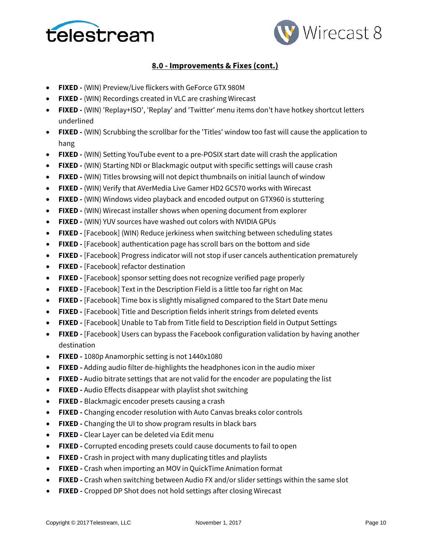



- **FIXED -** (WIN) Preview/Live flickers with GeForce GTX 980M
- **FIXED -** (WIN) Recordings created in VLC are crashing Wirecast
- **FIXED -** (WIN) 'Replay+ISO', 'Replay' and 'Twitter' menu items don't have hotkey shortcut letters underlined
- **FIXED -** (WIN) Scrubbing the scrollbar for the 'Titles' window too fast will cause the application to hang
- **FIXED -** (WIN) Setting YouTube event to a pre-POSIX start date will crash the application
- **FIXED -** (WIN) Starting NDI or Blackmagic output with specific settings will cause crash
- **FIXED -** (WIN) Titles browsing will not depict thumbnails on initial launch of window
- **FIXED -** (WIN) Verify that AVerMedia Live Gamer HD2 GC570 works with Wirecast
- **FIXED -** (WIN) Windows video playback and encoded output on GTX960 is stuttering
- **FIXED -** (WIN) Wirecast installer shows when opening document from explorer
- **FIXED -** (WIN) YUV sources have washed out colors with NVIDIA GPUs
- **FIXED -** [Facebook] (WIN) Reduce jerkiness when switching between scheduling states
- **FIXED -** [Facebook] authentication page has scroll bars on the bottom and side
- **FIXED -** [Facebook] Progress indicator will not stop if user cancels authentication prematurely
- **FIXED -** [Facebook] refactor destination
- **FIXED -** [Facebook] sponsor setting does not recognize verified page properly
- **FIXED -** [Facebook] Text in the Description Field is a little too far right on Mac
- **FIXED -** [Facebook] Time box is slightly misaligned compared to the Start Date menu
- **FIXED -** [Facebook] Title and Description fields inherit strings from deleted events
- **FIXED -** [Facebook] Unable to Tab from Title field to Description field in Output Settings
- **FIXED -** [Facebook] Users can bypass the Facebook configuration validation by having another destination
- **FIXED -** 1080p Anamorphic setting is not 1440x1080
- **FIXED -** Adding audio filter de-highlights the headphones icon in the audio mixer
- **FIXED -** Audio bitrate settings that are not valid for the encoder are populating the list
- **FIXED -** Audio Effects disappear with playlist shot switching
- **FIXED -** Blackmagic encoder presets causing a crash
- **FIXED -** Changing encoder resolution with Auto Canvas breaks color controls
- **FIXED -** Changing the UI to show program results in black bars
- **FIXED -** Clear Layer can be deleted via Edit menu
- **FIXED -** Corrupted encoding presets could cause documents to fail to open
- **FIXED -** Crash in project with many duplicating titles and playlists
- **FIXED -** Crash when importing an MOV in QuickTime Animation format
- **FIXED -** Crash when switching between Audio FX and/or slider settings within the same slot
- **FIXED -** Cropped DP Shot does not hold settings after closing Wirecast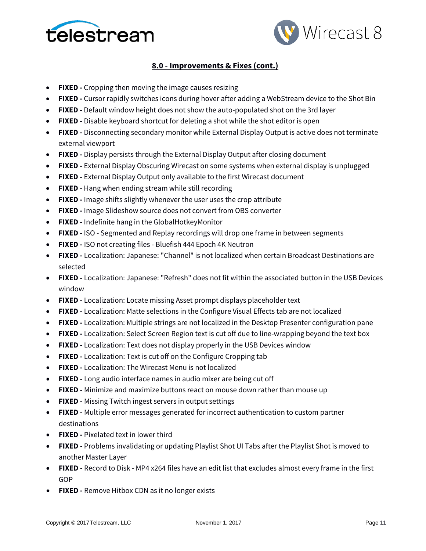



- **FIXED -** Cropping then moving the image causes resizing
- **FIXED -** Cursor rapidly switches icons during hover after adding a WebStream device to the Shot Bin
- **FIXED -** Default window height does not show the auto-populated shot on the 3rd layer
- **FIXED -** Disable keyboard shortcut for deleting a shot while the shot editor is open
- **FIXED -** Disconnecting secondary monitor while External Display Output is active does not terminate external viewport
- **FIXED -** Display persists through the External Display Output after closing document
- **FIXED -** External Display Obscuring Wirecast on some systems when external display is unplugged
- **FIXED -** External Display Output only available to the first Wirecast document
- **FIXED -** Hang when ending stream while still recording
- **FIXED -** Image shifts slightly whenever the user uses the crop attribute
- **FIXED -** Image Slideshow source does not convert from OBS converter
- **FIXED -** Indefinite hang in the GlobalHotkeyMonitor
- **FIXED -** ISO Segmented and Replay recordings will drop one frame in between segments
- **FIXED -** ISO not creating files Bluefish 444 Epoch 4K Neutron
- **FIXED -** Localization: Japanese: "Channel" is not localized when certain Broadcast Destinations are selected
- **FIXED -** Localization: Japanese: "Refresh" does not fit within the associated button in the USB Devices window
- **FIXED -** Localization: Locate missing Asset prompt displays placeholder text
- **FIXED -** Localization: Matte selections in the Configure Visual Effects tab are not localized
- **FIXED -** Localization: Multiple strings are not localized in the Desktop Presenter configuration pane
- **FIXED -** Localization: Select Screen Region text is cut off due to line-wrapping beyond the text box
- **FIXED -** Localization: Text does not display properly in the USB Devices window
- **FIXED -** Localization: Text is cut off on the Configure Cropping tab
- **FIXED -** Localization: The Wirecast Menu is not localized
- **FIXED -** Long audio interface names in audio mixer are being cut off
- **FIXED -** Minimize and maximize buttons react on mouse down rather than mouse up
- **FIXED -** Missing Twitch ingest servers in output settings
- **FIXED -** Multiple error messages generated for incorrect authentication to custom partner destinations
- **FIXED -** Pixelated text in lower third
- **FIXED -** Problems invalidating or updating Playlist Shot UI Tabs after the Playlist Shot is moved to another Master Layer
- **FIXED -** Record to Disk MP4 x264 files have an edit list that excludes almost every frame in the first GOP
- **FIXED -** Remove Hitbox CDN as it no longer exists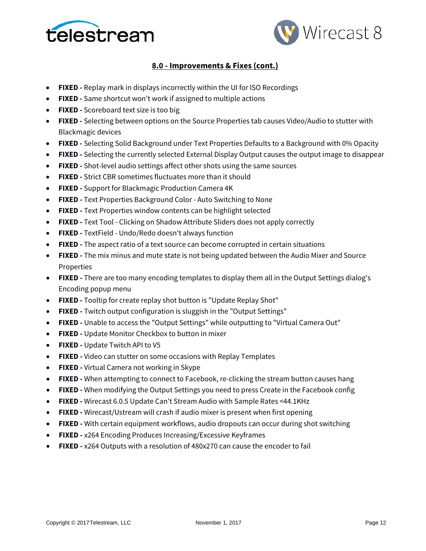



- **FIXED -** Replay mark in displays incorrectly within the UI for ISO Recordings
- **FIXED -** Same shortcut won't work if assigned to multiple actions
- **FIXED -** Scoreboard text size is too big
- **FIXED -** Selecting between options on the Source Properties tab causes Video/Audio to stutter with Blackmagic devices
- **FIXED -** Selecting Solid Background under Text Properties Defaults to a Background with 0% Opacity
- **FIXED -** Selecting the currently selected External Display Output causes the output image to disappear
- **FIXED -** Shot-level audio settings affect other shots using the same sources
- **FIXED -** Strict CBR sometimes fluctuates more than it should
- **FIXED -** Support for Blackmagic Production Camera 4K
- **FIXED -** Text Properties Background Color Auto Switching to None
- **FIXED -** Text Properties window contents can be highlight selected
- **FIXED -** Text Tool Clicking on Shadow Attribute Sliders does not apply correctly
- **FIXED -** TextField Undo/Redo doesn't always function
- **FIXED -** The aspect ratio of a text source can become corrupted in certain situations
- **FIXED -** The mix minus and mute state is not being updated between the Audio Mixer and Source Properties
- **FIXED -** There are too many encoding templates to display them all in the Output Settings dialog's Encoding popup menu
- **FIXED -** Tooltip for create replay shot button is "Update Replay Shot"
- **FIXED -** Twitch output configuration is sluggish in the "Output Settings"
- **FIXED -** Unable to access the "Output Settings" while outputting to "Virtual Camera Out"
- **FIXED -** Update Monitor Checkbox to button in mixer
- **FIXED -** Update Twitch API to V5
- **FIXED -** Video can stutter on some occasions with Replay Templates
- **FIXED -** Virtual Camera not working in Skype
- **FIXED -** When attempting to connect to Facebook, re-clicking the stream button causes hang
- **FIXED -** When modifying the Output Settings you need to press Create in the Facebook config
- **FIXED -** Wirecast 6.0.5 Update Can't Stream Audio with Sample Rates <44.1KHz
- **FIXED -** Wirecast/Ustream will crash if audio mixer is present when first opening
- **FIXED -** With certain equipment workflows, audio dropouts can occur during shot switching
- **FIXED -** x264 Encoding Produces Increasing/Excessive Keyframes
- **FIXED -** x264 Outputs with a resolution of 480x270 can cause the encoder to fail